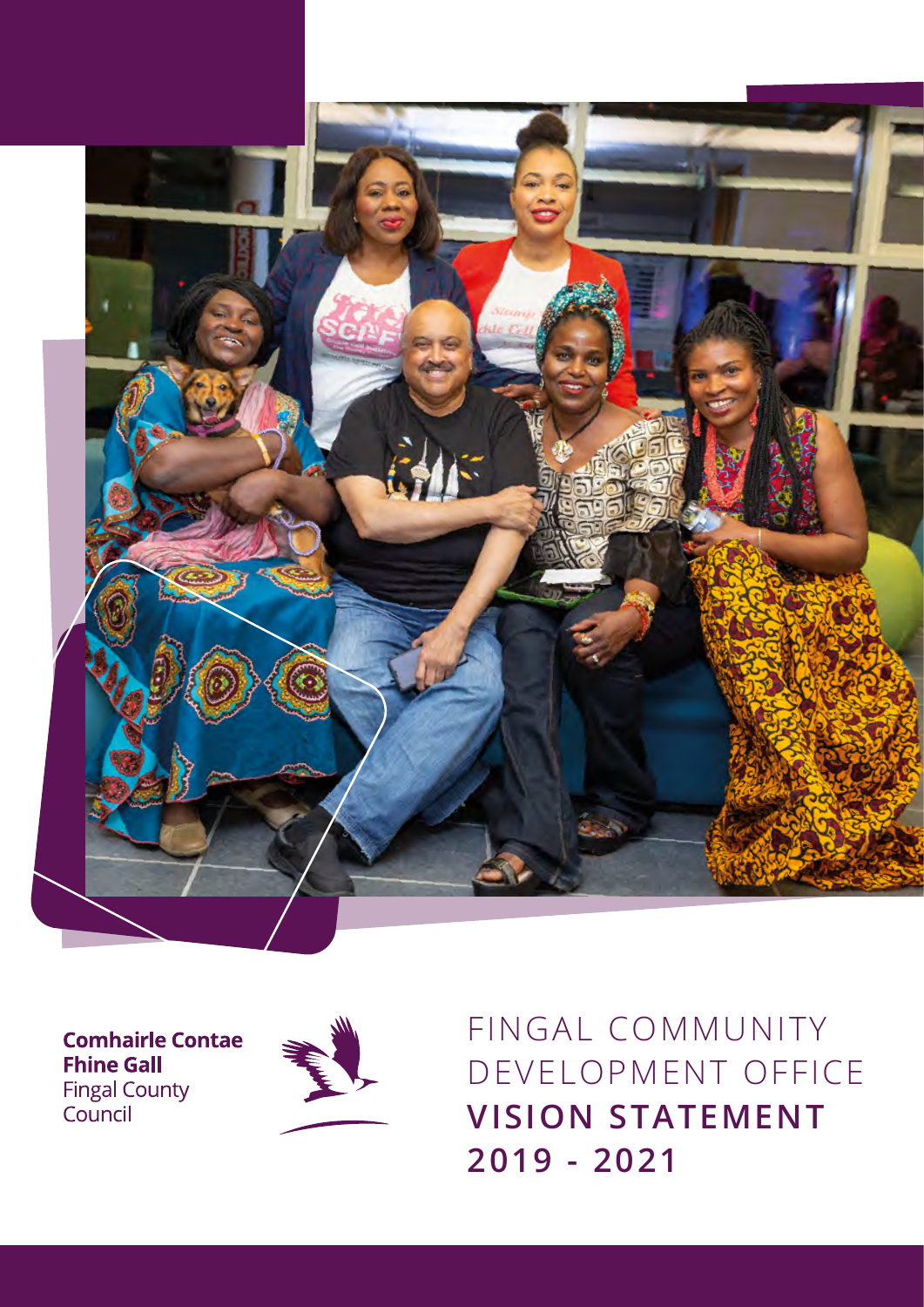

**Comhairle Contae Fhine Gall** Fingal County<br>Council



FINGAL COMMUNITY DEVELOPMENT OFFICE **VISION STATEMENT 2019 - 2021**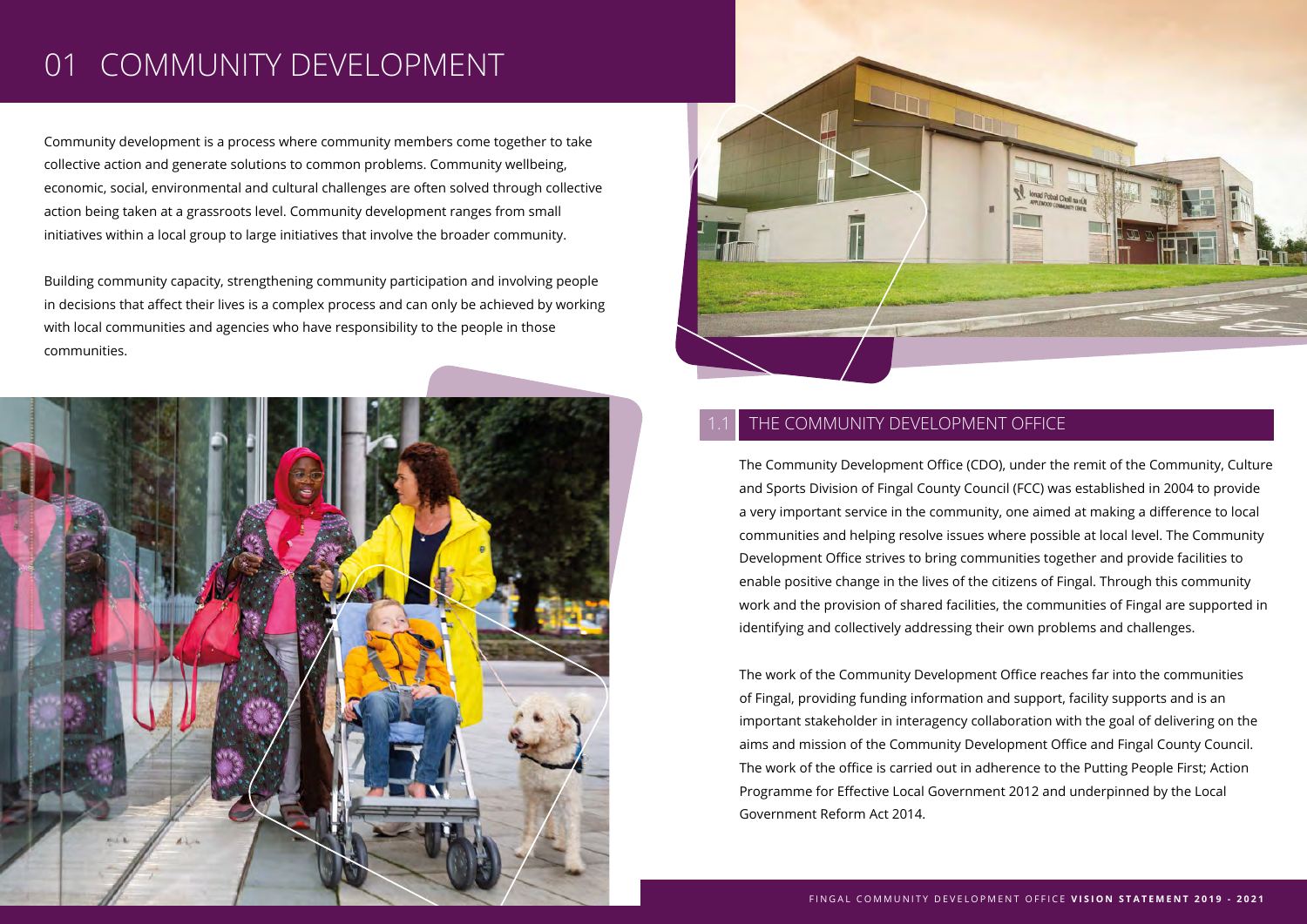## 01 COMMUNITY DEVELOPMENT

Community development is a process where community members come together to take collective action and generate solutions to common problems. Community wellbeing, economic, social, environmental and cultural challenges are often solved through collective action being taken at a grassroots level. Community development ranges from small initiatives within a local group to large initiatives that involve the broader community.

Building community capacity, strengthening community participation and involving people in decisions that affect their lives is a complex process and can only be achieved by working with local communities and agencies who have responsibility to the people in those communities.





#### THE COMMUNITY DEVELOPMENT OFFICE

The Community Development Office (CDO), under the remit of the Community, Culture and Sports Division of Fingal County Council (FCC) was established in 2004 to provide a very important service in the community, one aimed at making a difference to local communities and helping resolve issues where possible at local level. The Community Development Office strives to bring communities together and provide facilities to enable positive change in the lives of the citizens of Fingal. Through this community work and the provision of shared facilities, the communities of Fingal are supported in identifying and collectively addressing their own problems and challenges.

The work of the Community Development Office reaches far into the communities of Fingal, providing funding information and support, facility supports and is an important stakeholder in interagency collaboration with the goal of delivering on the aims and mission of the Community Development Office and Fingal County Council. The work of the office is carried out in adherence to the Putting People First: Action Programme for Effective Local Government 2012 and underpinned by the Local Government Reform Act 2014.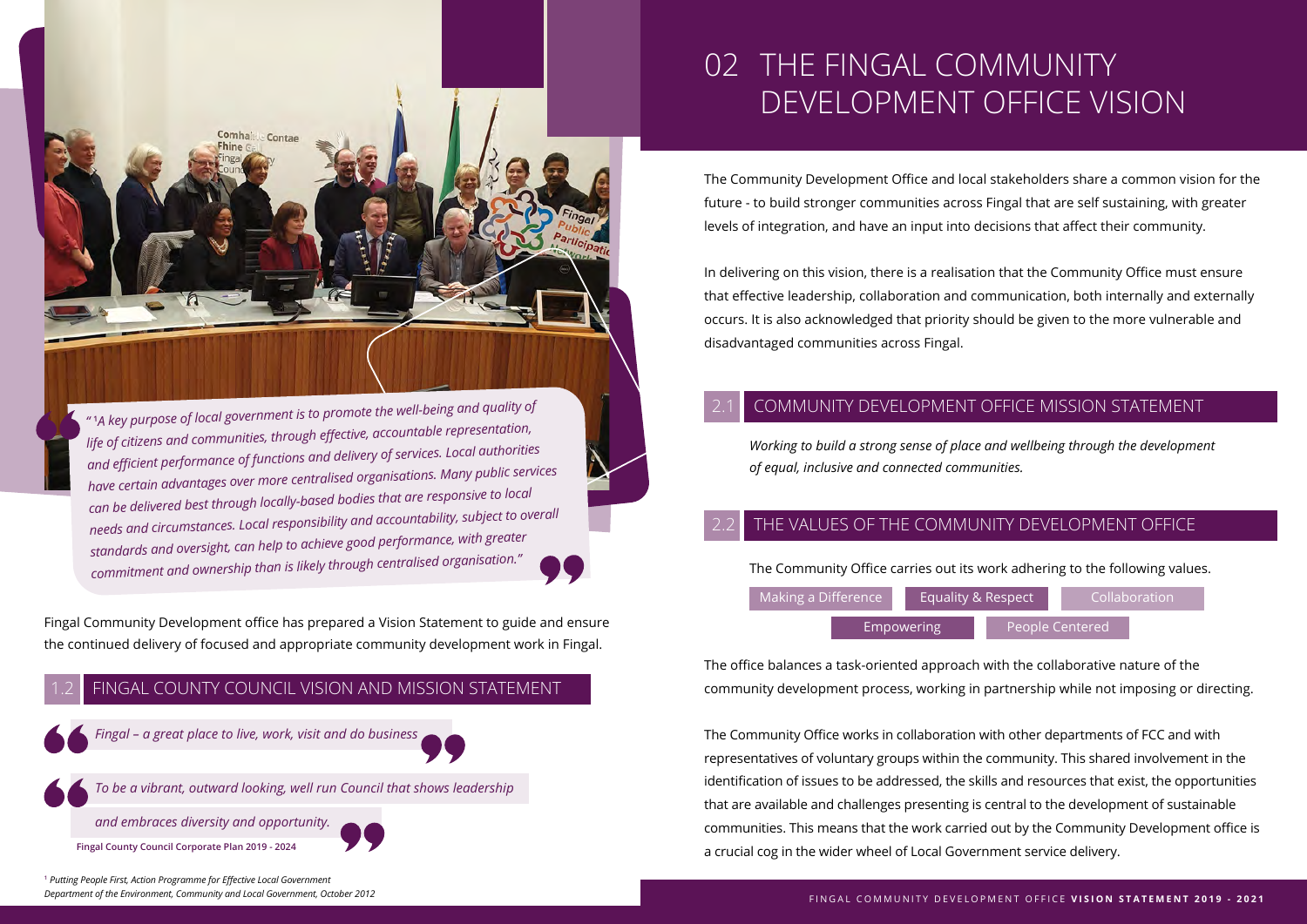

*"* **<sup>1</sup>** *A key purpose of local government is to promote the well-being and quality of life of citizens and communities, through eff ective, accountable representation, and effi cient performance of functions and delivery of services. Local authorities have certain advantages over more centralised organisations. Many public services can be delivered best through locally-based bodies that are responsive to local needs and circumstances. Local responsibility and accountability, subject to overall standards and oversight, can help to achieve good performance, with greater commitment and ownership than is likely through centralised organisation."*

Fingal Community Development office has prepared a Vision Statement to guide and ensure the continued delivery of focused and appropriate community development work in Fingal.



### 02 THE FINGAL COMMUNITY DEVELOPMENT OFFICE VISION

The Community Development Office and local stakeholders share a common vision for the future - to build stronger communities across Fingal that are self sustaining, with greater levels of integration, and have an input into decisions that affect their community.

In delivering on this vision, there is a realisation that the Community Office must ensure that effective leadership, collaboration and communication, both internally and externally occurs. It is also acknowledged that priority should be given to the more vulnerable and disadvantaged communities across Fingal.

#### COMMUNITY DEVELOPMENT OFFICE MISSION STATEMENT

*Working to build a strong sense of place and wellbeing through the development of equal, inclusive and connected communities.*

#### THE VALUES OF THE COMMUNITY DEVELOPMENT OFFICE

The Community Office carries out its work adhering to the following values.

| Making a Difference |                   | <b>Equality &amp; Respect</b> |  | Collaboration   |  |
|---------------------|-------------------|-------------------------------|--|-----------------|--|
|                     | <b>Empowering</b> |                               |  | People Centered |  |

The office balances a task-oriented approach with the collaborative nature of the community development process, working in partnership while not imposing or directing.

The Community Office works in collaboration with other departments of FCC and with representatives of voluntary groups within the community. This shared involvement in the identification of issues to be addressed, the skills and resources that exist, the opportunities that are available and challenges presenting is central to the development of sustainable communities. This means that the work carried out by the Community Development office is a crucial cog in the wider wheel of Local Government service delivery.

**1**  *Putting People First, Action Programme for Eff ective Local Government Department of the Environment, Community and Local Government, October 2012*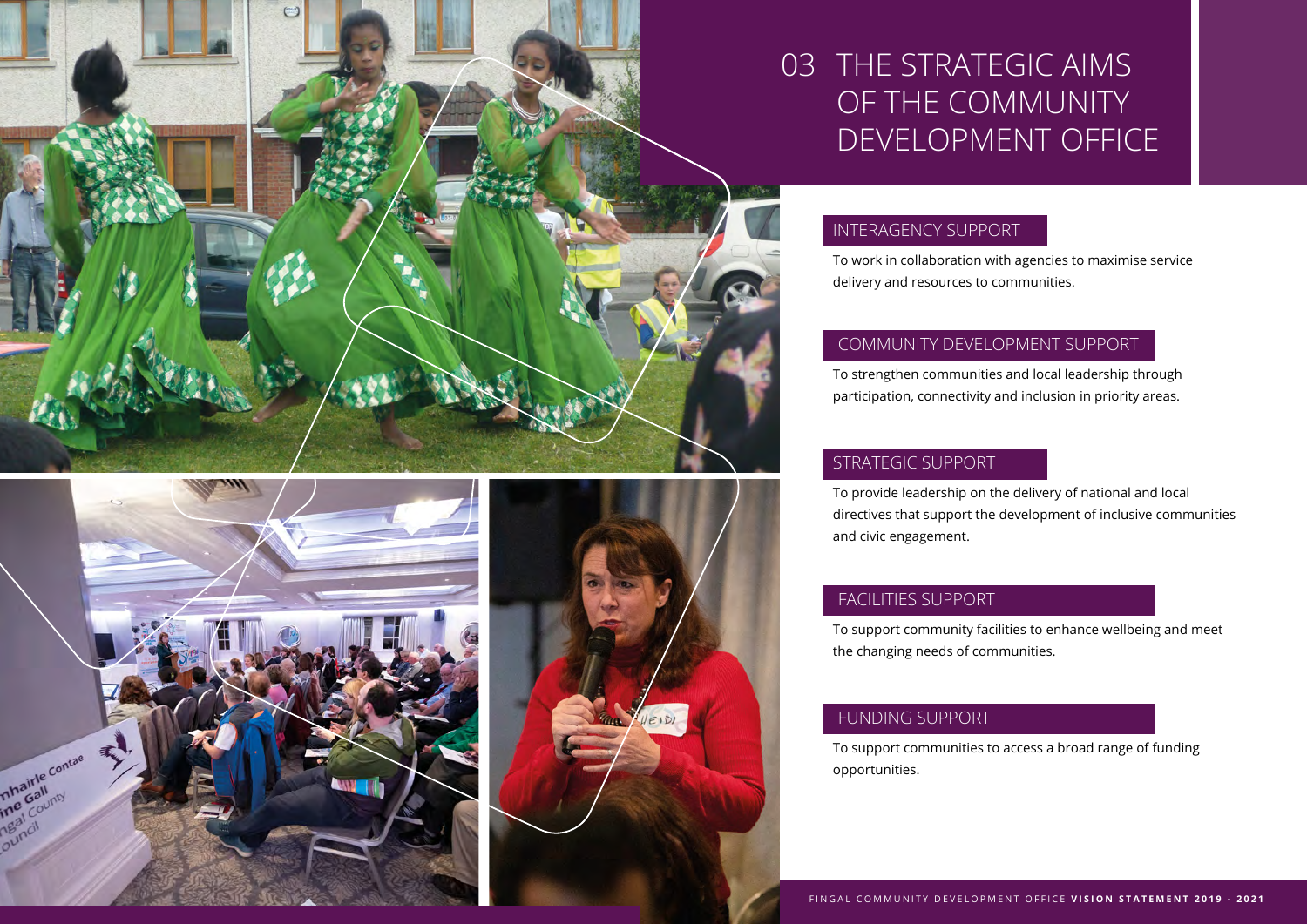





# 03 THE STRATEGIC AIMS OF THE COMMUNITY DEVELOPMENT OFFICE

#### INTERAGENCY SUPPORT

To work in collaboration with agencies to maximise service delivery and resources to communities.

#### COMMUNITY DEVELOPMENT SUPPORT

To strengthen communities and local leadership through participation, connectivity and inclusion in priority areas.

#### STRATEGIC SUPPORT

To provide leadership on the delivery of national and local directives that support the development of inclusive communities and civic engagement.

#### FACILITIES SUPPORT

To support community facilities to enhance wellbeing and meet the changing needs of communities.

#### FUNDING SUPPORT

To support communities to access a broad range of funding opportunities.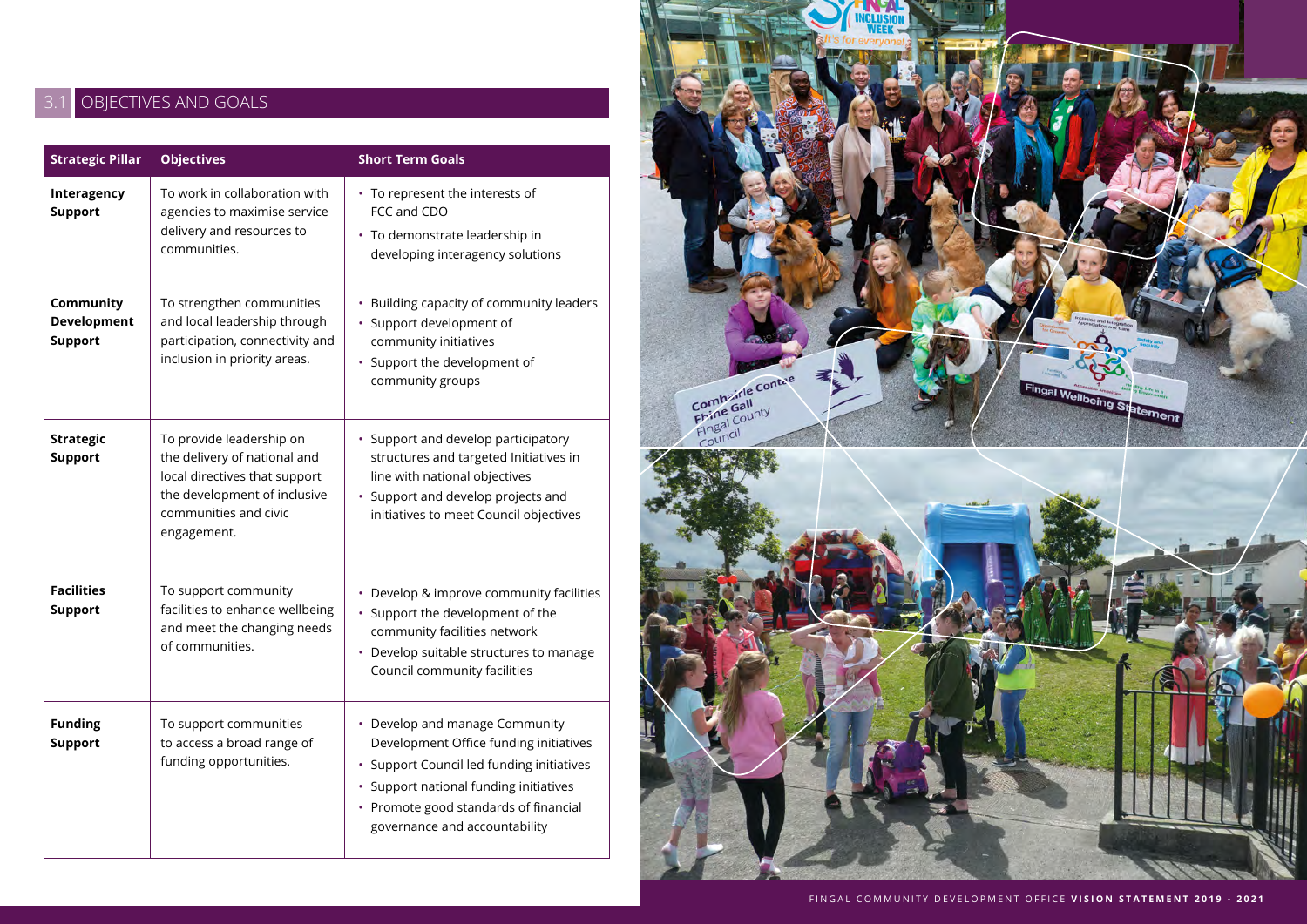### 3.1 OBJECTIVES AND GOALS

| <b>Strategic Pillar</b>                    | <b>Objectives</b>                                                                                                                                                 | <b>Short Term Goals</b>                                                                                                                                                                                                                   |  |  |
|--------------------------------------------|-------------------------------------------------------------------------------------------------------------------------------------------------------------------|-------------------------------------------------------------------------------------------------------------------------------------------------------------------------------------------------------------------------------------------|--|--|
| Interagency<br><b>Support</b>              | To work in collaboration with<br>agencies to maximise service<br>delivery and resources to<br>communities.                                                        | • To represent the interests of<br>FCC and CDO<br>· To demonstrate leadership in<br>developing interagency solutions                                                                                                                      |  |  |
| Community<br>Development<br><b>Support</b> | To strengthen communities<br>and local leadership through<br>participation, connectivity and<br>inclusion in priority areas.                                      | • Building capacity of community leaders<br>· Support development of<br>community initiatives<br>• Support the development of<br>community groups                                                                                         |  |  |
| <b>Strategic</b><br><b>Support</b>         | To provide leadership on<br>the delivery of national and<br>local directives that support<br>the development of inclusive<br>communities and civic<br>engagement. | • Support and develop participatory<br>structures and targeted Initiatives in<br>line with national objectives<br>• Support and develop projects and<br>initiatives to meet Council objectives                                            |  |  |
| <b>Facilities</b><br><b>Support</b>        | To support community<br>facilities to enhance wellbeing<br>and meet the changing needs<br>of communities.                                                         | • Develop & improve community facilities<br>• Support the development of the<br>community facilities network<br>Develop suitable structures to manage<br>×.<br>Council community facilities                                               |  |  |
| <b>Funding</b><br><b>Support</b>           | To support communities<br>to access a broad range of<br>funding opportunities.                                                                                    | • Develop and manage Community<br>Development Office funding initiatives<br>· Support Council led funding initiatives<br>· Support national funding initiatives<br>• Promote good standards of financial<br>governance and accountability |  |  |

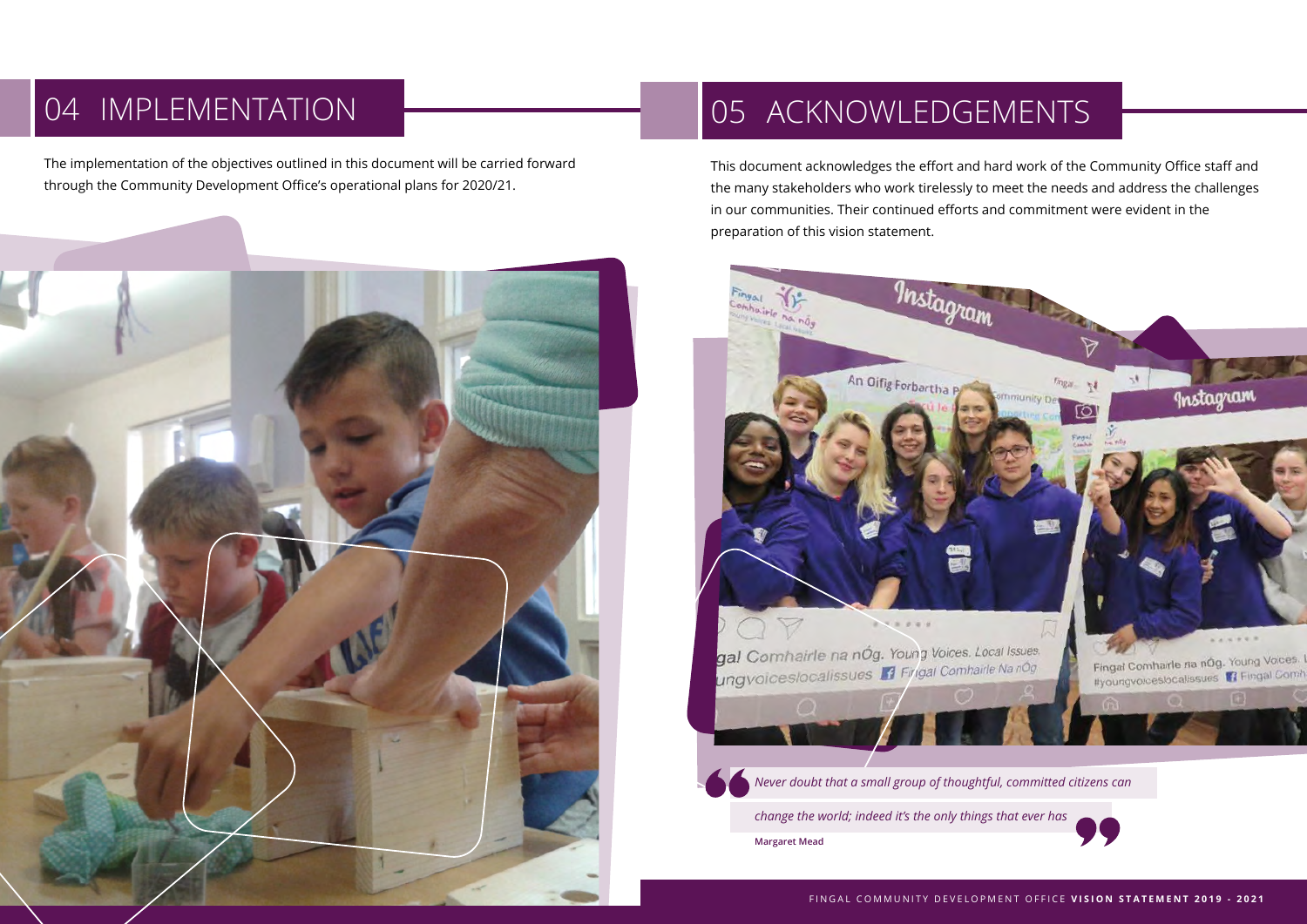# 04 IMPLEMENTATION

The implementation of the objectives outlined in this document will be carried forward through the Community Development Office's operational plans for 2020/21.



# 05 ACKNOWLEDGEMENTS

This document acknowledges the effort and hard work of the Community Office staff and the many stakeholders who work tirelessly to meet the needs and address the challenges in our communities. Their continued efforts and commitment were evident in the preparation of this vision statement.



**Margaret Mead**